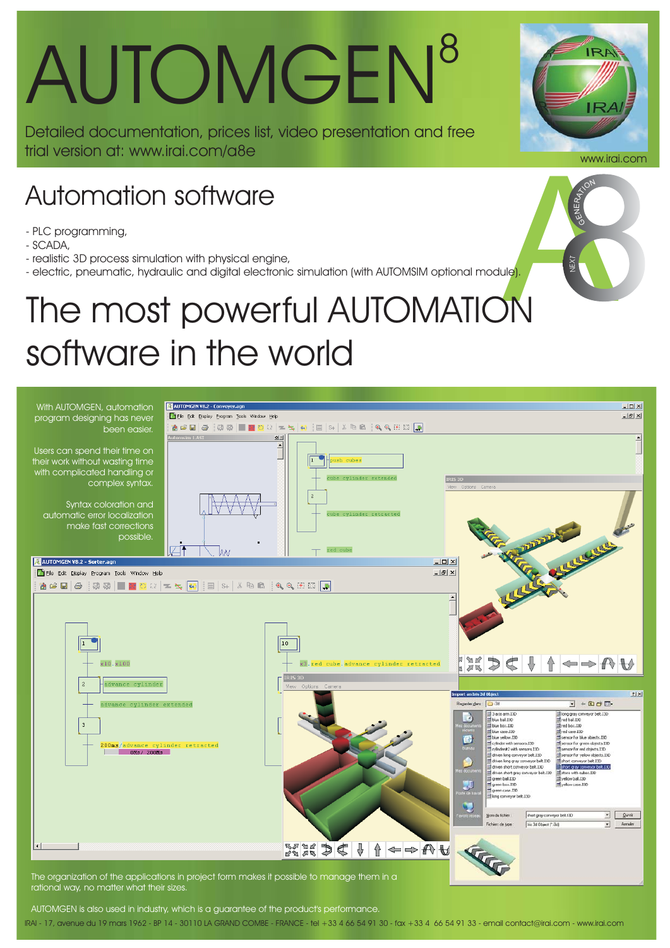# AUTOMGEN<sup>8</sup>

Detailed documentation, prices list, video presentation and free trial version at: www.irai.com/a8e

#### Automation software

- PLC programming,
- SCADA,
- realistic 3D process simulation with physical engine,
- electric, pneumatic, hydraulic and digital electronic simulation (with AUTOMSIM optional module).

### The most powerful AUTOMATION software in the world



rational way, no matter what their sizes.

IRAI - 17, avenue du 19 mars 1962 - BP 14 - 30110 LA GRAND COMBE - FRANCE - tel +33 4 66 54 91 30 - fax +33 4 66 54 91 33 - email contact@irai.com - www.irai.com AUTOMGEN is also used in industry, which is a guarantee of the product's performance



NEXT